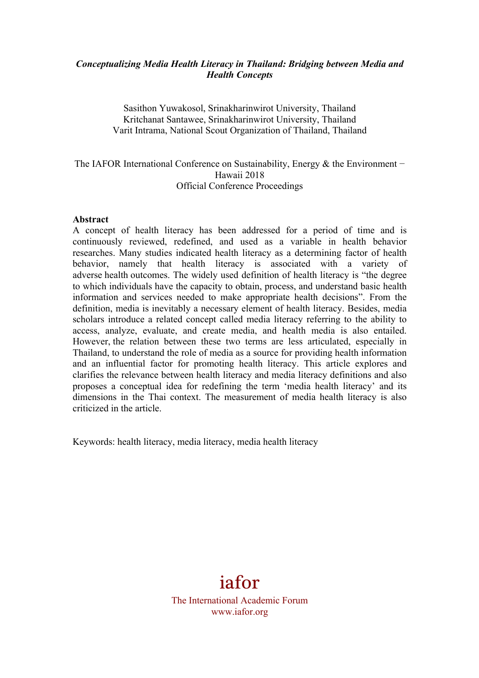## *Conceptualizing Media Health Literacy in Thailand: Bridging between Media and Health Concepts*

Sasithon Yuwakosol, Srinakharinwirot University, Thailand Kritchanat Santawee, Srinakharinwirot University, Thailand Varit Intrama, National Scout Organization of Thailand, Thailand

## The IAFOR International Conference on Sustainability, Energy & the Environment − Hawaii 2018 Official Conference Proceedings

#### **Abstract**

A concept of health literacy has been addressed for a period of time and is continuously reviewed, redefined, and used as a variable in health behavior researches. Many studies indicated health literacy as a determining factor of health behavior, namely that health literacy is associated with a variety of adverse health outcomes. The widely used definition of health literacy is "the degree to which individuals have the capacity to obtain, process, and understand basic health information and services needed to make appropriate health decisions". From the definition, media is inevitably a necessary element of health literacy. Besides, media scholars introduce a related concept called media literacy referring to the ability to access, analyze, evaluate, and create media, and health media is also entailed. However, the relation between these two terms are less articulated, especially in Thailand, to understand the role of media as a source for providing health information and an influential factor for promoting health literacy. This article explores and clarifies the relevance between health literacy and media literacy definitions and also proposes a conceptual idea for redefining the term 'media health literacy' and its dimensions in the Thai context. The measurement of media health literacy is also criticized in the article.

Keywords: health literacy, media literacy, media health literacy

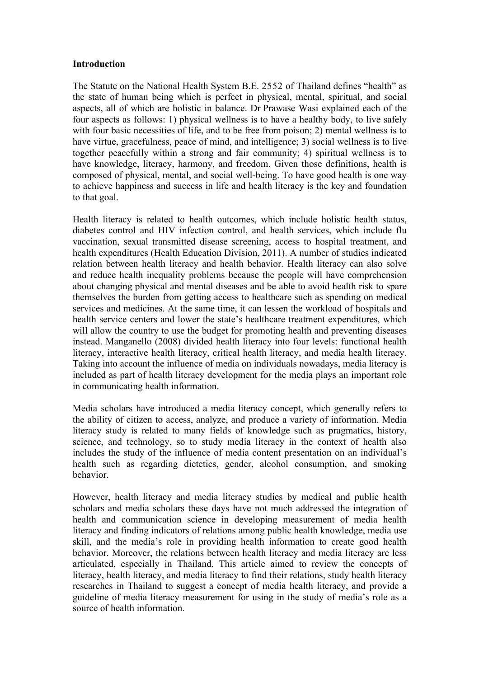#### **Introduction**

The Statute on the National Health System B.E. 2552 of Thailand defines "health" as the state of human being which is perfect in physical, mental, spiritual, and social aspects, all of which are holistic in balance. Dr Prawase Wasi explained each of the four aspects as follows: 1) physical wellness is to have a healthy body, to live safely with four basic necessities of life, and to be free from poison; 2) mental wellness is to have virtue, gracefulness, peace of mind, and intelligence; 3) social wellness is to live together peacefully within a strong and fair community; 4) spiritual wellness is to have knowledge, literacy, harmony, and freedom. Given those definitions, health is composed of physical, mental, and social well-being. To have good health is one way to achieve happiness and success in life and health literacy is the key and foundation to that goal.

Health literacy is related to health outcomes, which include holistic health status, diabetes control and HIV infection control, and health services, which include flu vaccination, sexual transmitted disease screening, access to hospital treatment, and health expenditures (Health Education Division, 2011). A number of studies indicated relation between health literacy and health behavior. Health literacy can also solve and reduce health inequality problems because the people will have comprehension about changing physical and mental diseases and be able to avoid health risk to spare themselves the burden from getting access to healthcare such as spending on medical services and medicines. At the same time, it can lessen the workload of hospitals and health service centers and lower the state's healthcare treatment expenditures, which will allow the country to use the budget for promoting health and preventing diseases instead. Manganello (2008) divided health literacy into four levels: functional health literacy, interactive health literacy, critical health literacy, and media health literacy. Taking into account the influence of media on individuals nowadays, media literacy is included as part of health literacy development for the media plays an important role in communicating health information.

Media scholars have introduced a media literacy concept, which generally refers to the ability of citizen to access, analyze, and produce a variety of information. Media literacy study is related to many fields of knowledge such as pragmatics, history, science, and technology, so to study media literacy in the context of health also includes the study of the influence of media content presentation on an individual's health such as regarding dietetics, gender, alcohol consumption, and smoking behavior.

However, health literacy and media literacy studies by medical and public health scholars and media scholars these days have not much addressed the integration of health and communication science in developing measurement of media health literacy and finding indicators of relations among public health knowledge, media use skill, and the media's role in providing health information to create good health behavior. Moreover, the relations between health literacy and media literacy are less articulated, especially in Thailand. This article aimed to review the concepts of literacy, health literacy, and media literacy to find their relations, study health literacy researches in Thailand to suggest a concept of media health literacy, and provide a guideline of media literacy measurement for using in the study of media's role as a source of health information.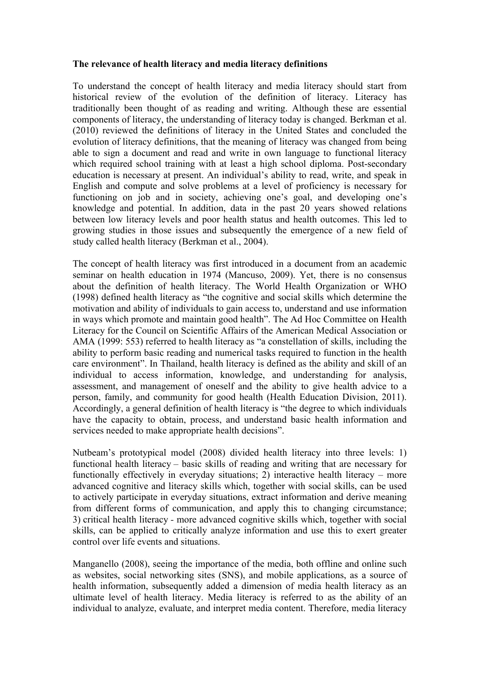#### **The relevance of health literacy and media literacy definitions**

To understand the concept of health literacy and media literacy should start from historical review of the evolution of the definition of literacy. Literacy has traditionally been thought of as reading and writing. Although these are essential components of literacy, the understanding of literacy today is changed. Berkman et al. (2010) reviewed the definitions of literacy in the United States and concluded the evolution of literacy definitions, that the meaning of literacy was changed from being able to sign a document and read and write in own language to functional literacy which required school training with at least a high school diploma. Post-secondary education is necessary at present. An individual's ability to read, write, and speak in English and compute and solve problems at a level of proficiency is necessary for functioning on job and in society, achieving one's goal, and developing one's knowledge and potential. In addition, data in the past 20 years showed relations between low literacy levels and poor health status and health outcomes. This led to growing studies in those issues and subsequently the emergence of a new field of study called health literacy (Berkman et al., 2004).

The concept of health literacy was first introduced in a document from an academic seminar on health education in 1974 (Mancuso, 2009). Yet, there is no consensus about the definition of health literacy. The World Health Organization or WHO (1998) defined health literacy as "the cognitive and social skills which determine the motivation and ability of individuals to gain access to, understand and use information in ways which promote and maintain good health". The Ad Hoc Committee on Health Literacy for the Council on Scientific Affairs of the American Medical Association or AMA (1999: 553) referred to health literacy as "a constellation of skills, including the ability to perform basic reading and numerical tasks required to function in the health care environment". In Thailand, health literacy is defined as the ability and skill of an individual to access information, knowledge, and understanding for analysis, assessment, and management of oneself and the ability to give health advice to a person, family, and community for good health (Health Education Division, 2011). Accordingly, a general definition of health literacy is "the degree to which individuals have the capacity to obtain, process, and understand basic health information and services needed to make appropriate health decisions".

Nutbeam's prototypical model (2008) divided health literacy into three levels: 1) functional health literacy – basic skills of reading and writing that are necessary for functionally effectively in everyday situations; 2) interactive health literacy – more advanced cognitive and literacy skills which, together with social skills, can be used to actively participate in everyday situations, extract information and derive meaning from different forms of communication, and apply this to changing circumstance; 3) critical health literacy *-* more advanced cognitive skills which, together with social skills, can be applied to critically analyze information and use this to exert greater control over life events and situations.

Manganello (2008), seeing the importance of the media, both offline and online such as websites, social networking sites (SNS), and mobile applications, as a source of health information, subsequently added a dimension of media health literacy as an ultimate level of health literacy. Media literacy is referred to as the ability of an individual to analyze, evaluate, and interpret media content. Therefore, media literacy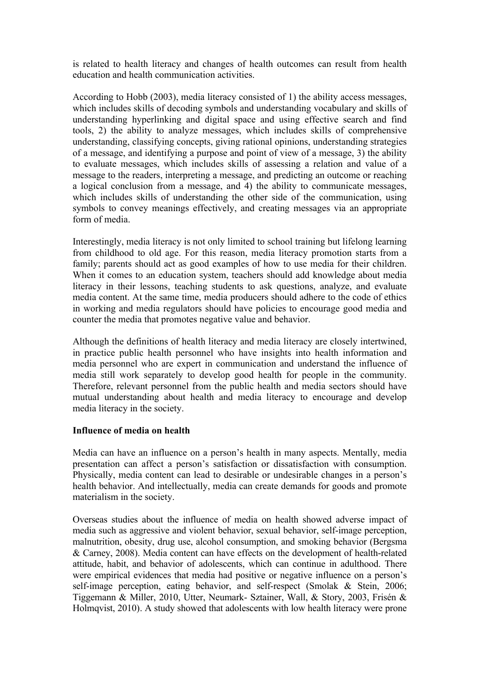is related to health literacy and changes of health outcomes can result from health education and health communication activities.

According to Hobb (2003), media literacy consisted of 1) the ability access messages, which includes skills of decoding symbols and understanding vocabulary and skills of understanding hyperlinking and digital space and using effective search and find tools, 2) the ability to analyze messages, which includes skills of comprehensive understanding, classifying concepts, giving rational opinions, understanding strategies of a message, and identifying a purpose and point of view of a message, 3) the ability to evaluate messages, which includes skills of assessing a relation and value of a message to the readers, interpreting a message, and predicting an outcome or reaching a logical conclusion from a message, and 4) the ability to communicate messages, which includes skills of understanding the other side of the communication, using symbols to convey meanings effectively, and creating messages via an appropriate form of media.

Interestingly, media literacy is not only limited to school training but lifelong learning from childhood to old age. For this reason, media literacy promotion starts from a family; parents should act as good examples of how to use media for their children. When it comes to an education system, teachers should add knowledge about media literacy in their lessons, teaching students to ask questions, analyze, and evaluate media content. At the same time, media producers should adhere to the code of ethics in working and media regulators should have policies to encourage good media and counter the media that promotes negative value and behavior.

Although the definitions of health literacy and media literacy are closely intertwined, in practice public health personnel who have insights into health information and media personnel who are expert in communication and understand the influence of media still work separately to develop good health for people in the community. Therefore, relevant personnel from the public health and media sectors should have mutual understanding about health and media literacy to encourage and develop media literacy in the society.

#### **Influence of media on health**

Media can have an influence on a person's health in many aspects. Mentally, media presentation can affect a person's satisfaction or dissatisfaction with consumption. Physically, media content can lead to desirable or undesirable changes in a person's health behavior. And intellectually, media can create demands for goods and promote materialism in the society.

Overseas studies about the influence of media on health showed adverse impact of media such as aggressive and violent behavior, sexual behavior, self-image perception, malnutrition, obesity, drug use, alcohol consumption, and smoking behavior (Bergsma & Carney, 2008). Media content can have effects on the development of health-related attitude, habit, and behavior of adolescents, which can continue in adulthood. There were empirical evidences that media had positive or negative influence on a person's self-image perception, eating behavior, and self-respect (Smolak & Stein, 2006; Tiggemann & Miller, 2010, Utter, Neumark- Sztainer, Wall, & Story, 2003, Frisén & Holmqvist, 2010). A study showed that adolescents with low health literacy were prone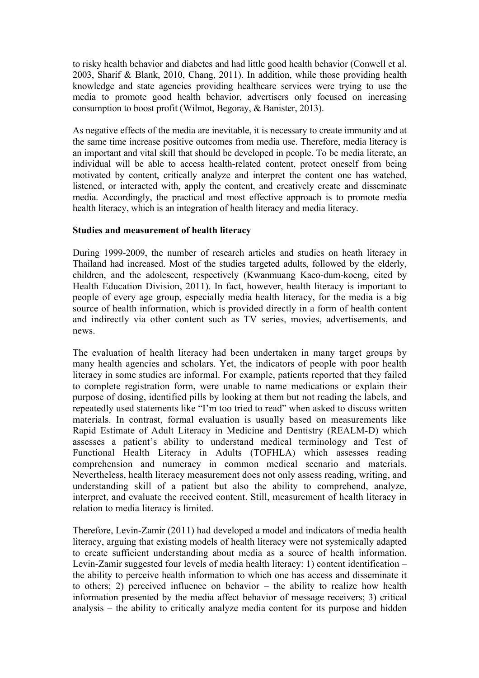to risky health behavior and diabetes and had little good health behavior (Conwell et al. 2003, Sharif & Blank, 2010, Chang, 2011). In addition, while those providing health knowledge and state agencies providing healthcare services were trying to use the media to promote good health behavior, advertisers only focused on increasing consumption to boost profit (Wilmot, Begoray, & Banister, 2013).

As negative effects of the media are inevitable, it is necessary to create immunity and at the same time increase positive outcomes from media use. Therefore, media literacy is an important and vital skill that should be developed in people. To be media literate, an individual will be able to access health-related content, protect oneself from being motivated by content, critically analyze and interpret the content one has watched, listened, or interacted with, apply the content, and creatively create and disseminate media. Accordingly, the practical and most effective approach is to promote media health literacy, which is an integration of health literacy and media literacy.

#### **Studies and measurement of health literacy**

During 1999-2009, the number of research articles and studies on heath literacy in Thailand had increased. Most of the studies targeted adults, followed by the elderly, children, and the adolescent, respectively (Kwanmuang Kaeo-dum-koeng, cited by Health Education Division, 2011). In fact, however, health literacy is important to people of every age group, especially media health literacy, for the media is a big source of health information, which is provided directly in a form of health content and indirectly via other content such as TV series, movies, advertisements, and news.

The evaluation of health literacy had been undertaken in many target groups by many health agencies and scholars. Yet, the indicators of people with poor health literacy in some studies are informal. For example, patients reported that they failed to complete registration form, were unable to name medications or explain their purpose of dosing, identified pills by looking at them but not reading the labels, and repeatedly used statements like "I'm too tried to read" when asked to discuss written materials. In contrast, formal evaluation is usually based on measurements like Rapid Estimate of Adult Literacy in Medicine and Dentistry (REALM-D) which assesses a patient's ability to understand medical terminology and Test of Functional Health Literacy in Adults (TOFHLA) which assesses reading comprehension and numeracy in common medical scenario and materials. Nevertheless, health literacy measurement does not only assess reading, writing, and understanding skill of a patient but also the ability to comprehend, analyze, interpret, and evaluate the received content. Still, measurement of health literacy in relation to media literacy is limited.

Therefore, Levin-Zamir (2011) had developed a model and indicators of media health literacy, arguing that existing models of health literacy were not systemically adapted to create sufficient understanding about media as a source of health information. Levin-Zamir suggested four levels of media health literacy: 1) content identification – the ability to perceive health information to which one has access and disseminate it to others; 2) perceived influence on behavior – the ability to realize how health information presented by the media affect behavior of message receivers; 3) critical analysis – the ability to critically analyze media content for its purpose and hidden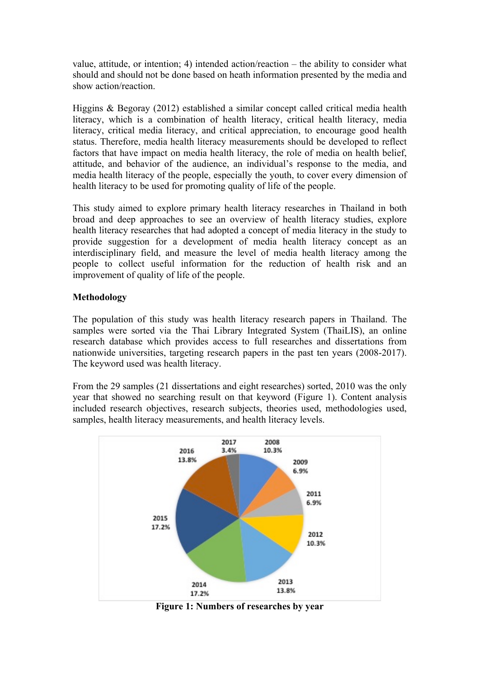value, attitude, or intention; 4) intended action/reaction – the ability to consider what should and should not be done based on heath information presented by the media and show action/reaction.

Higgins & Begoray (2012) established a similar concept called critical media health literacy, which is a combination of health literacy, critical health literacy, media literacy, critical media literacy, and critical appreciation, to encourage good health status. Therefore, media health literacy measurements should be developed to reflect factors that have impact on media health literacy, the role of media on health belief, attitude, and behavior of the audience, an individual's response to the media, and media health literacy of the people, especially the youth, to cover every dimension of health literacy to be used for promoting quality of life of the people.

This study aimed to explore primary health literacy researches in Thailand in both broad and deep approaches to see an overview of health literacy studies, explore health literacy researches that had adopted a concept of media literacy in the study to provide suggestion for a development of media health literacy concept as an interdisciplinary field, and measure the level of media health literacy among the people to collect useful information for the reduction of health risk and an improvement of quality of life of the people.

## **Methodology**

The population of this study was health literacy research papers in Thailand. The samples were sorted via the Thai Library Integrated System (ThaiLIS), an online research database which provides access to full researches and dissertations from nationwide universities, targeting research papers in the past ten years (2008-2017). The keyword used was health literacy.

From the 29 samples (21 dissertations and eight researches) sorted, 2010 was the only year that showed no searching result on that keyword (Figure 1). Content analysis included research objectives, research subjects, theories used, methodologies used, samples, health literacy measurements, and health literacy levels.



**Figure 1: Numbers of researches by year**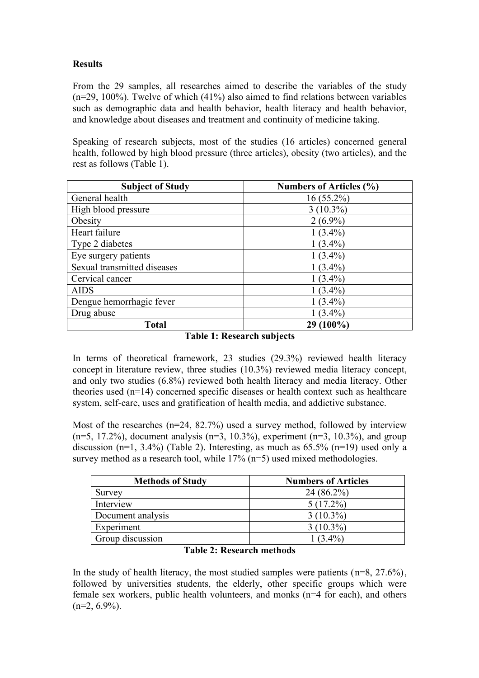# **Results**

From the 29 samples, all researches aimed to describe the variables of the study (n=29, 100%). Twelve of which (41%) also aimed to find relations between variables such as demographic data and health behavior, health literacy and health behavior, and knowledge about diseases and treatment and continuity of medicine taking.

Speaking of research subjects, most of the studies (16 articles) concerned general health, followed by high blood pressure (three articles), obesity (two articles), and the rest as follows (Table 1).

| <b>Subject of Study</b>     | <b>Numbers of Articles (%)</b> |
|-----------------------------|--------------------------------|
| General health              | $16(55.2\%)$                   |
| High blood pressure         | $3(10.3\%)$                    |
| Obesity                     | $2(6.9\%)$                     |
| Heart failure               | $1(3.4\%)$                     |
| Type 2 diabetes             | $1(3.4\%)$                     |
| Eye surgery patients        | $1(3.4\%)$                     |
| Sexual transmitted diseases | $1(3.4\%)$                     |
| Cervical cancer             | $1(3.4\%)$                     |
| <b>AIDS</b>                 | $1(3.4\%)$                     |
| Dengue hemorrhagic fever    | $1(3.4\%)$                     |
| Drug abuse                  | $1(3.4\%)$                     |
| <b>Total</b>                | 29 (100%)                      |

|  |  | <b>Table 1: Research subjects</b> |  |
|--|--|-----------------------------------|--|
|--|--|-----------------------------------|--|

In terms of theoretical framework, 23 studies (29.3%) reviewed health literacy concept in literature review, three studies (10.3%) reviewed media literacy concept, and only two studies (6.8%) reviewed both health literacy and media literacy. Other theories used (n=14) concerned specific diseases or health context such as healthcare system, self-care, uses and gratification of health media, and addictive substance.

Most of the researches  $(n=24, 82.7%)$  used a survey method, followed by interview  $(n=5, 17.2\%)$ , document analysis  $(n=3, 10.3\%)$ , experiment  $(n=3, 10.3\%)$ , and group discussion (n=1, 3.4%) (Table 2). Interesting, as much as  $65.5\%$  (n=19) used only a survey method as a research tool, while  $17\%$  (n=5) used mixed methodologies.

| <b>Methods of Study</b> | <b>Numbers of Articles</b> |
|-------------------------|----------------------------|
| Survey                  | $24(86.2\%)$               |
| Interview               | $5(17.2\%)$                |
| Document analysis       | $3(10.3\%)$                |
| Experiment              | $3(10.3\%)$                |
| Group discussion        | $1(3.4\%)$                 |

## **Table 2: Research methods**

In the study of health literacy, the most studied samples were patients  $(n=8, 27.6\%)$ , followed by universities students, the elderly, other specific groups which were female sex workers, public health volunteers, and monks (n=4 for each), and others  $(n=2, 6.9\%)$ .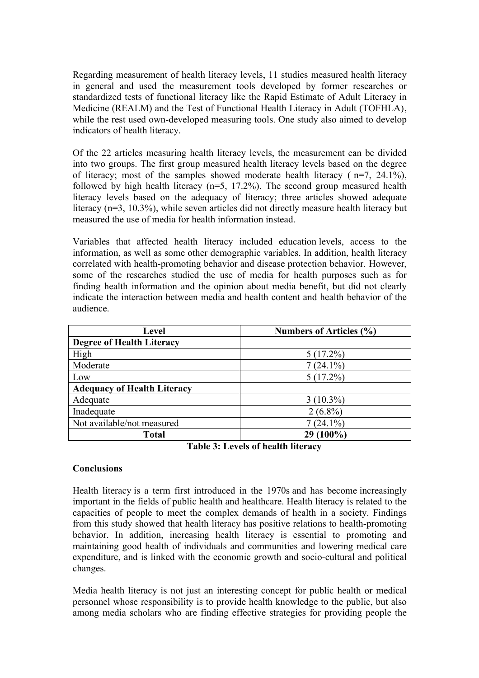Regarding measurement of health literacy levels, 11 studies measured health literacy in general and used the measurement tools developed by former researches or standardized tests of functional literacy like the Rapid Estimate of Adult Literacy in Medicine (REALM) and the Test of Functional Health Literacy in Adult (TOFHLA), while the rest used own-developed measuring tools. One study also aimed to develop indicators of health literacy.

Of the 22 articles measuring health literacy levels, the measurement can be divided into two groups. The first group measured health literacy levels based on the degree of literacy; most of the samples showed moderate health literacy ( $n=7$ ,  $24.1\%$ ), followed by high health literacy (n=5, 17.2%). The second group measured health literacy levels based on the adequacy of literacy; three articles showed adequate literacy (n=3, 10.3%), while seven articles did not directly measure health literacy but measured the use of media for health information instead.

Variables that affected health literacy included education levels, access to the information, as well as some other demographic variables. In addition, health literacy correlated with health-promoting behavior and disease protection behavior. However, some of the researches studied the use of media for health purposes such as for finding health information and the opinion about media benefit, but did not clearly indicate the interaction between media and health content and health behavior of the audience.

| Level                              | <b>Numbers of Articles (%)</b> |  |
|------------------------------------|--------------------------------|--|
| <b>Degree of Health Literacy</b>   |                                |  |
| High                               | $5(17.2\%)$                    |  |
| Moderate                           | $7(24.1\%)$                    |  |
| Low                                | $5(17.2\%)$                    |  |
| <b>Adequacy of Health Literacy</b> |                                |  |
| Adequate                           | $3(10.3\%)$                    |  |
| Inadequate                         | $2(6.8\%)$                     |  |
| Not available/not measured         | $7(24.1\%)$                    |  |
| <b>Total</b>                       | 29 (100%)                      |  |

**Table 3: Levels of health literacy**

#### **Conclusions**

Health literacy is a term first introduced in the 1970s and has become increasingly important in the fields of public health and healthcare. Health literacy is related to the capacities of people to meet the complex demands of health in a society. Findings from this study showed that health literacy has positive relations to health-promoting behavior. In addition, increasing health literacy is essential to promoting and maintaining good health of individuals and communities and lowering medical care expenditure, and is linked with the economic growth and socio-cultural and political changes.

Media health literacy is not just an interesting concept for public health or medical personnel whose responsibility is to provide health knowledge to the public, but also among media scholars who are finding effective strategies for providing people the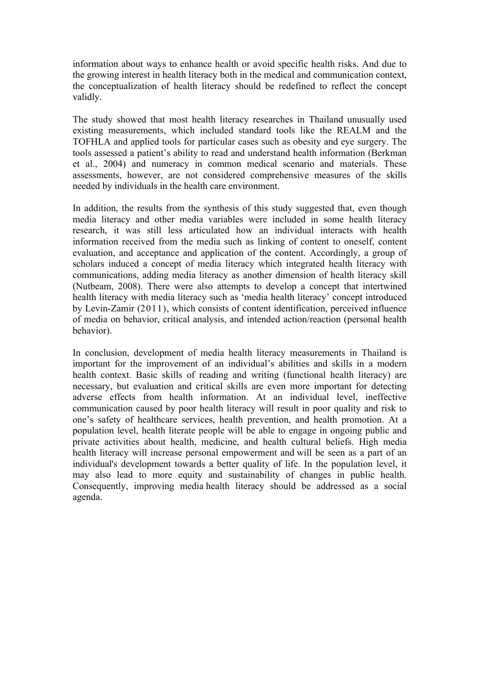information about ways to enhance health or avoid specific health risks. And due to the growing interest in health literacy both in the medical and communication context, the conceptualization of health literacy should be redefined to reflect the concept validly.

The study showed that most health literacy researches in Thailand unusually used existing measurements, which included standard tools like the REALM and the TOFHLA and applied tools for particular cases such as obesity and eye surgery. The tools assessed a patient's ability to read and understand health information (Berkman et al., 2004) and numeracy in common medical scenario and materials. These assessments, however, are not considered comprehensive measures of the skills needed by individuals in the health care environment.

In addition, the results from the synthesis of this study suggested that, even though media literacy and other media variables were included in some health literacy research, it was still less articulated how an individual interacts with health information received from the media such as linking of content to oneself, content evaluation, and acceptance and application of the content. Accordingly, a group of scholars induced a concept of media literacy which integrated health literacy with communications, adding media literacy as another dimension of health literacy skill (Nutbeam, 2008). There were also attempts to develop a concept that intertwined health literacy with media literacy such as 'media health literacy' concept introduced by Levin-Zamir (2011), which consists of content identification, perceived influence of media on behavior, critical analysis, and intended action/reaction (personal health behavior).

In conclusion, development of media health literacy measurements in Thailand is important for the improvement of an individual's abilities and skills in a modern health context. Basic skills of reading and writing (functional health literacy) are necessary, but evaluation and critical skills are even more important for detecting adverse effects from health information. At an individual level, ineffective communication caused by poor health literacy will result in poor quality and risk to one's safety of healthcare services, health prevention, and health promotion. At a population level, health literate people will be able to engage in ongoing public and private activities about health, medicine, and health cultural beliefs. High media health literacy will increase personal empowerment and will be seen as a part of an individual's development towards a better quality of life. In the population level, it may also lead to more equity and sustainability of changes in public health. Consequently, improving media health literacy should be addressed as a social agenda.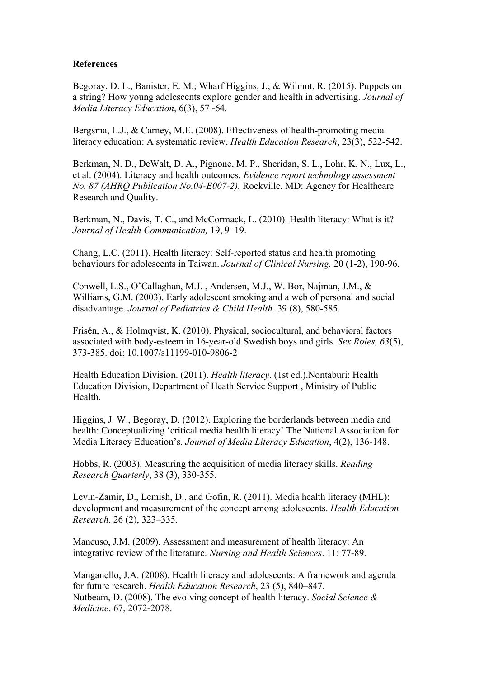#### **References**

Begoray, D. L., Banister, E. M.; Wharf Higgins, J.; & Wilmot, R. (2015). Puppets on a string? How young adolescents explore gender and health in advertising. *Journal of Media Literacy Education*, 6(3), 57 -64.

Bergsma, L.J., & Carney, M.E. (2008). Effectiveness of health-promoting media literacy education: A systematic review, *Health Education Research*, 23(3), 522-542.

Berkman, N. D., DeWalt, D. A., Pignone, M. P., Sheridan, S. L., Lohr, K. N., Lux, L., et al. (2004). Literacy and health outcomes. *Evidence report technology assessment No. 87 (AHRQ Publication No.04-E007-2).* Rockville, MD: Agency for Healthcare Research and Quality.

Berkman, N., Davis, T. C., and McCormack, L. (2010). Health literacy: What is it? *Journal of Health Communication,* 19, 9–19.

Chang, L.C. (2011). Health literacy: Self-reported status and health promoting behaviours for adolescents in Taiwan. *Journal of Clinical Nursing.* 20 (1-2), 190-96.

Conwell, L.S., O'Callaghan, M.J. , Andersen, M.J., W. Bor, Najman, J.M., & Williams, G.M. (2003). Early adolescent smoking and a web of personal and social disadvantage. *Journal of Pediatrics & Child Health.* 39 (8), 580-585.

Frisén, A., & Holmqvist, K. (2010). Physical, sociocultural, and behavioral factors associated with body-esteem in 16-year-old Swedish boys and girls. *Sex Roles, 63*(5), 373-385. doi: 10.1007/s11199-010-9806-2

Health Education Division. (2011). *Health literacy*. (1st ed.).Nontaburi: Health Education Division, Department of Heath Service Support , Ministry of Public **Health** 

Higgins, J. W., Begoray, D. (2012). Exploring the borderlands between media and health: Conceptualizing 'critical media health literacy' The National Association for Media Literacy Education's. *Journal of Media Literacy Education*, 4(2), 136-148.

Hobbs, R. (2003). Measuring the acquisition of media literacy skills. *Reading Research Quarterly*, 38 (3), 330-355.

Levin-Zamir, D., Lemish, D., and Gofin, R. (2011). Media health literacy (MHL): development and measurement of the concept among adolescents. *Health Education Research*. 26 (2), 323–335.

Mancuso, J.M. (2009). Assessment and measurement of health literacy: An integrative review of the literature. *Nursing and Health Sciences*. 11: 77-89.

Manganello, J.A. (2008). Health literacy and adolescents: A framework and agenda for future research. *Health Education Research*, 23 (5), 840–847. Nutbeam, D. (2008). The evolving concept of health literacy. *Social Science & Medicine*. 67, 2072-2078.